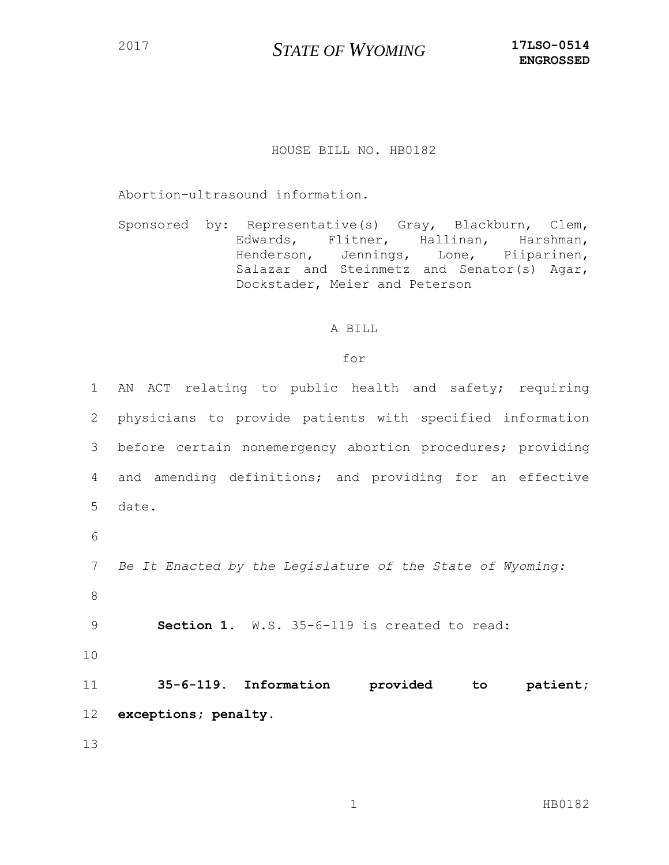## <sup>2017</sup> *STATE OF WYOMING* **17LSO-0514**

## HOUSE BILL NO. HB0182

Abortion–ultrasound information.

Sponsored by: Representative(s) Gray, Blackburn, Clem, Edwards, Flitner, Hallinan, Harshman, Henderson, Jennings, Lone, Piiparinen, Salazar and Steinmetz and Senator(s) Agar, Dockstader, Meier and Peterson

## A BILL

for

 AN ACT relating to public health and safety; requiring physicians to provide patients with specified information before certain nonemergency abortion procedures; providing and amending definitions; and providing for an effective 5 date. 6 *Be It Enacted by the Legislature of the State of Wyoming:* 8 **Section 1.** W.S. 35-6-119 is created to read: 10 **35-6-119. Information provided to patient; exceptions; penalty.** 13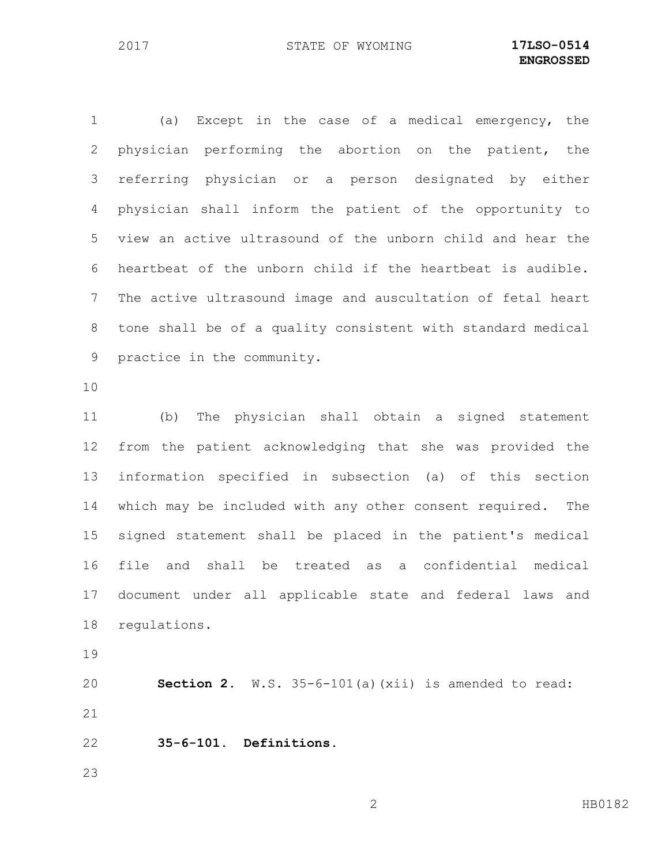(a) Except in the case of a medical emergency, the physician performing the abortion on the patient, the referring physician or a person designated by either physician shall inform the patient of the opportunity to view an active ultrasound of the unborn child and hear the heartbeat of the unborn child if the heartbeat is audible. The active ultrasound image and auscultation of fetal heart tone shall be of a quality consistent with standard medical practice in the community. (b) The physician shall obtain a signed statement from the patient acknowledging that she was provided the information specified in subsection (a) of this section which may be included with any other consent required. The signed statement shall be placed in the patient's medical file and shall be treated as a confidential medical document under all applicable state and federal laws and regulations. **Section 2.** W.S. 35-6-101(a)(xii) is amended to read:

**35-6-101. Definitions.**